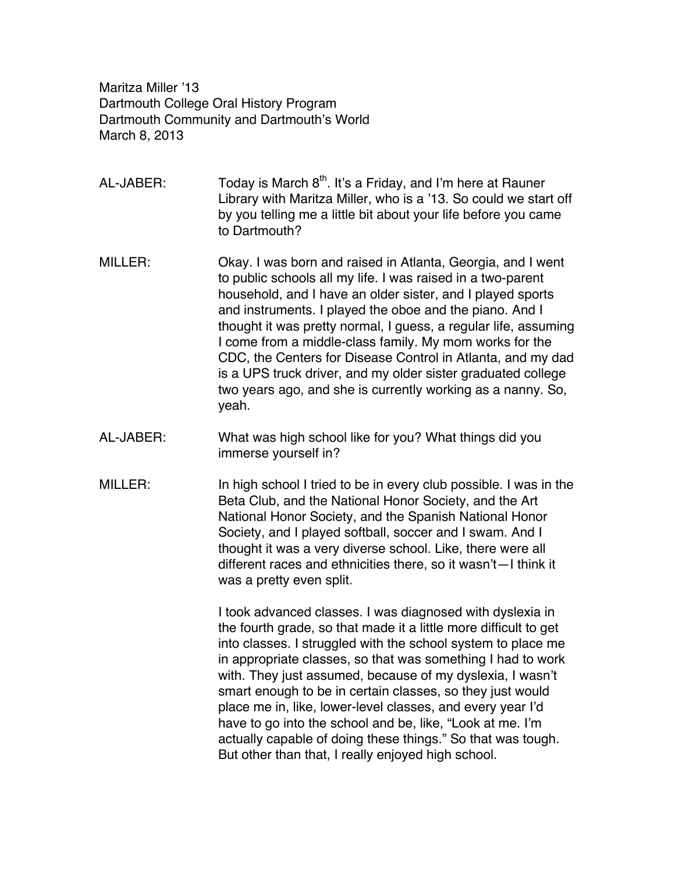Maritza Miller '13 Dartmouth College Oral History Program Dartmouth Community and Dartmouth's World March 8, 2013

AL-JABER: Today is March  $8<sup>th</sup>$ . It's a Friday, and I'm here at Rauner Library with Maritza Miller, who is a '13. So could we start off by you telling me a little bit about your life before you came to Dartmouth?

- MILLER: Okay. I was born and raised in Atlanta, Georgia, and I went to public schools all my life. I was raised in a two-parent household, and I have an older sister, and I played sports and instruments. I played the oboe and the piano. And I thought it was pretty normal, I guess, a regular life, assuming I come from a middle-class family. My mom works for the CDC, the Centers for Disease Control in Atlanta, and my dad is a UPS truck driver, and my older sister graduated college two years ago, and she is currently working as a nanny. So, yeah.
- AL-JABER: What was high school like for you? What things did you immerse yourself in?
- MILLER: In high school I tried to be in every club possible. I was in the Beta Club, and the National Honor Society, and the Art National Honor Society, and the Spanish National Honor Society, and I played softball, soccer and I swam. And I thought it was a very diverse school. Like, there were all different races and ethnicities there, so it wasn't—I think it was a pretty even split.

I took advanced classes. I was diagnosed with dyslexia in the fourth grade, so that made it a little more difficult to get into classes. I struggled with the school system to place me in appropriate classes, so that was something I had to work with. They just assumed, because of my dyslexia, I wasn't smart enough to be in certain classes, so they just would place me in, like, lower-level classes, and every year I'd have to go into the school and be, like, "Look at me. I'm actually capable of doing these things." So that was tough. But other than that, I really enjoyed high school.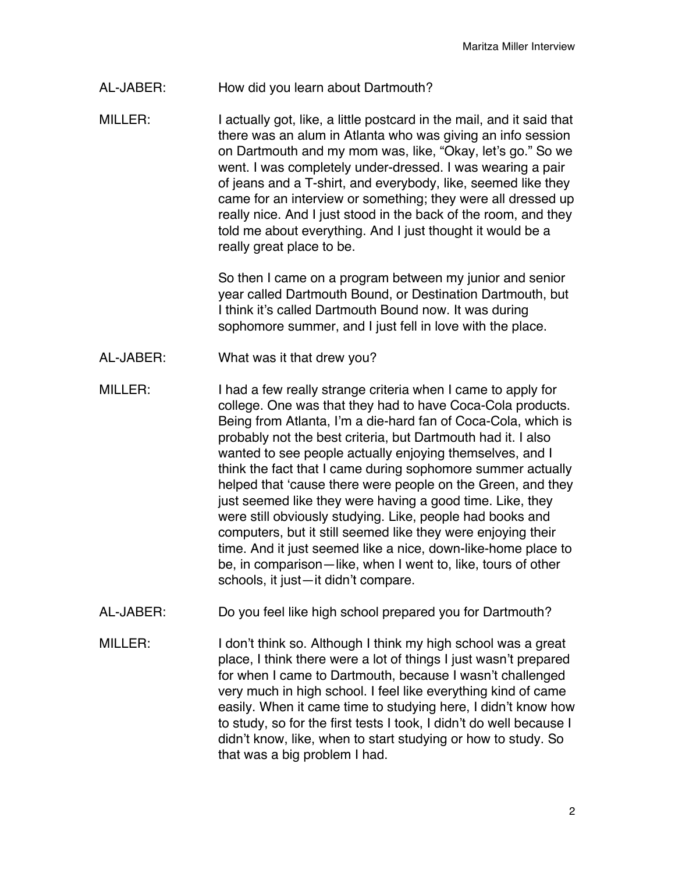- AL-JABER: How did you learn about Dartmouth?
- MILLER: I actually got, like, a little postcard in the mail, and it said that there was an alum in Atlanta who was giving an info session on Dartmouth and my mom was, like, "Okay, let's go." So we went. I was completely under-dressed. I was wearing a pair of jeans and a T-shirt, and everybody, like, seemed like they came for an interview or something; they were all dressed up really nice. And I just stood in the back of the room, and they told me about everything. And I just thought it would be a really great place to be.

So then I came on a program between my junior and senior year called Dartmouth Bound, or Destination Dartmouth, but I think it's called Dartmouth Bound now. It was during sophomore summer, and I just fell in love with the place.

- AL-JABER: What was it that drew you?
- MILLER: I had a few really strange criteria when I came to apply for college. One was that they had to have Coca-Cola products. Being from Atlanta, I'm a die-hard fan of Coca-Cola, which is probably not the best criteria, but Dartmouth had it. I also wanted to see people actually enjoying themselves, and I think the fact that I came during sophomore summer actually helped that ʻcause there were people on the Green, and they just seemed like they were having a good time. Like, they were still obviously studying. Like, people had books and computers, but it still seemed like they were enjoying their time. And it just seemed like a nice, down-like-home place to be, in comparison—like, when I went to, like, tours of other schools, it just—it didn't compare.
- AL-JABER: Do you feel like high school prepared you for Dartmouth?
- MILLER: I don't think so. Although I think my high school was a great place, I think there were a lot of things I just wasn't prepared for when I came to Dartmouth, because I wasn't challenged very much in high school. I feel like everything kind of came easily. When it came time to studying here, I didn't know how to study, so for the first tests I took, I didn't do well because I didn't know, like, when to start studying or how to study. So that was a big problem I had.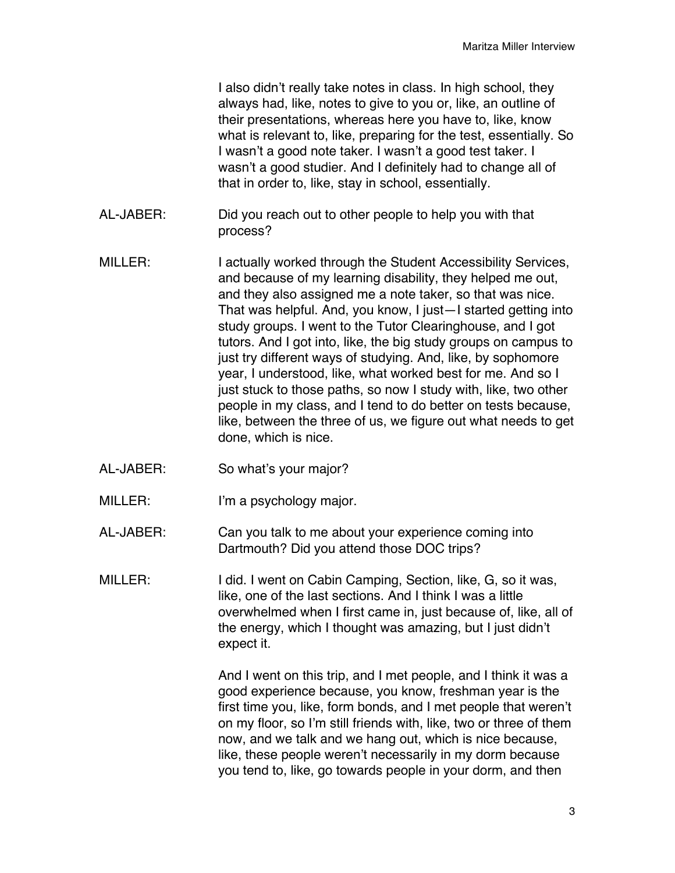I also didn't really take notes in class. In high school, they always had, like, notes to give to you or, like, an outline of their presentations, whereas here you have to, like, know what is relevant to, like, preparing for the test, essentially. So I wasn't a good note taker. I wasn't a good test taker. I wasn't a good studier. And I definitely had to change all of that in order to, like, stay in school, essentially.

- AL-JABER: Did you reach out to other people to help you with that process?
- MILLER: I actually worked through the Student Accessibility Services, and because of my learning disability, they helped me out, and they also assigned me a note taker, so that was nice. That was helpful. And, you know, I just—I started getting into study groups. I went to the Tutor Clearinghouse, and I got tutors. And I got into, like, the big study groups on campus to just try different ways of studying. And, like, by sophomore year, I understood, like, what worked best for me. And so I just stuck to those paths, so now I study with, like, two other people in my class, and I tend to do better on tests because, like, between the three of us, we figure out what needs to get done, which is nice.
- AL-JABER: So what's your major?
- MILLER: I'm a psychology major.
- AL-JABER: Can you talk to me about your experience coming into Dartmouth? Did you attend those DOC trips?
- MILLER: I did. I went on Cabin Camping, Section, like, G, so it was, like, one of the last sections. And I think I was a little overwhelmed when I first came in, just because of, like, all of the energy, which I thought was amazing, but I just didn't expect it.

And I went on this trip, and I met people, and I think it was a good experience because, you know, freshman year is the first time you, like, form bonds, and I met people that weren't on my floor, so I'm still friends with, like, two or three of them now, and we talk and we hang out, which is nice because, like, these people weren't necessarily in my dorm because you tend to, like, go towards people in your dorm, and then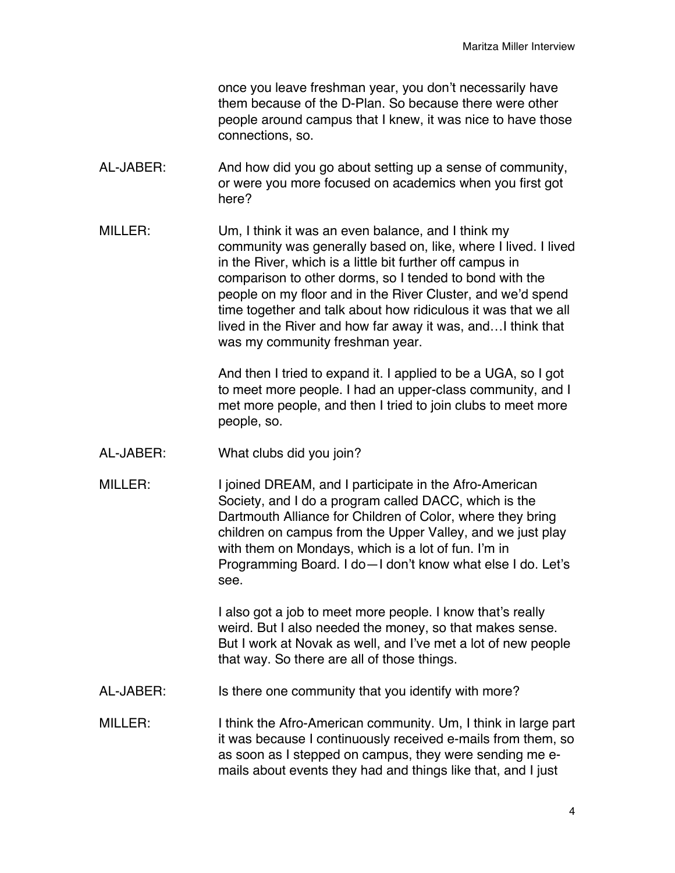once you leave freshman year, you don't necessarily have them because of the D-Plan. So because there were other people around campus that I knew, it was nice to have those connections, so.

- AL-JABER: And how did you go about setting up a sense of community, or were you more focused on academics when you first got here?
- MILLER: Um, I think it was an even balance, and I think my community was generally based on, like, where I lived. I lived in the River, which is a little bit further off campus in comparison to other dorms, so I tended to bond with the people on my floor and in the River Cluster, and we'd spend time together and talk about how ridiculous it was that we all lived in the River and how far away it was, and…I think that was my community freshman year.

And then I tried to expand it. I applied to be a UGA, so I got to meet more people. I had an upper-class community, and I met more people, and then I tried to join clubs to meet more people, so.

- AL-JABER: What clubs did you join?
- MILLER: I joined DREAM, and I participate in the Afro-American Society, and I do a program called DACC, which is the Dartmouth Alliance for Children of Color, where they bring children on campus from the Upper Valley, and we just play with them on Mondays, which is a lot of fun. I'm in Programming Board. I do—I don't know what else I do. Let's see.

I also got a job to meet more people. I know that's really weird. But I also needed the money, so that makes sense. But I work at Novak as well, and I've met a lot of new people that way. So there are all of those things.

- AL-JABER: Is there one community that you identify with more?
- MILLER: I think the Afro-American community. Um, I think in large part it was because I continuously received e-mails from them, so as soon as I stepped on campus, they were sending me emails about events they had and things like that, and I just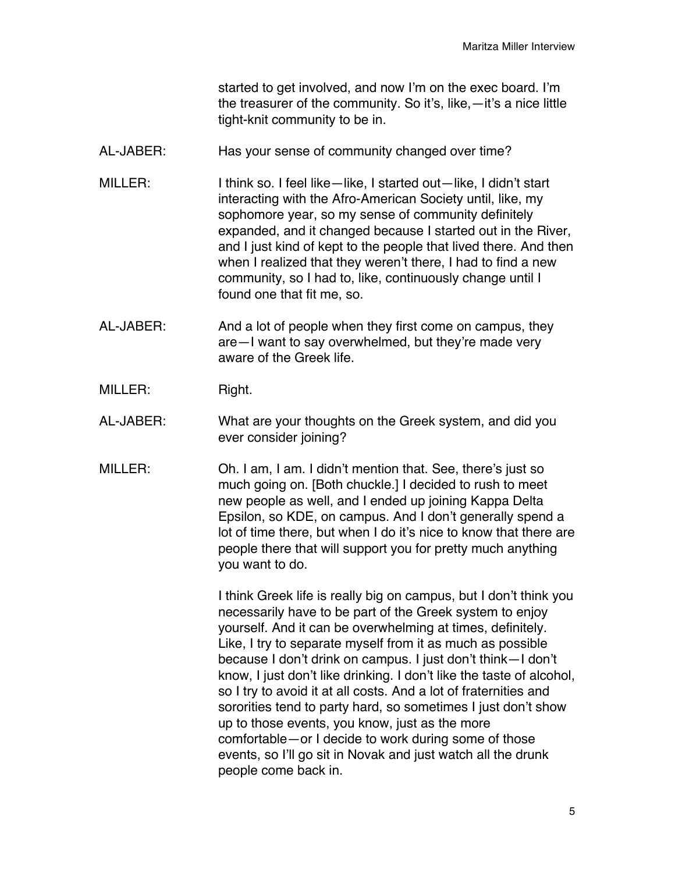started to get involved, and now I'm on the exec board. I'm the treasurer of the community. So it's, like,—it's a nice little tight-knit community to be in.

- AL-JABER: Has your sense of community changed over time?
- MILLER: I think so. I feel like—like, I started out—like, I didn't start interacting with the Afro-American Society until, like, my sophomore year, so my sense of community definitely expanded, and it changed because I started out in the River, and I just kind of kept to the people that lived there. And then when I realized that they weren't there, I had to find a new community, so I had to, like, continuously change until I found one that fit me, so.
- AL-JABER: And a lot of people when they first come on campus, they are—I want to say overwhelmed, but they're made very aware of the Greek life.
- MILLER: Right.
- AL-JABER: What are your thoughts on the Greek system, and did you ever consider joining?
- MILLER: Oh. I am, I am. I didn't mention that. See, there's just so much going on. [Both chuckle.] I decided to rush to meet new people as well, and I ended up joining Kappa Delta Epsilon, so KDE, on campus. And I don't generally spend a lot of time there, but when I do it's nice to know that there are people there that will support you for pretty much anything you want to do.

I think Greek life is really big on campus, but I don't think you necessarily have to be part of the Greek system to enjoy yourself. And it can be overwhelming at times, definitely. Like, I try to separate myself from it as much as possible because I don't drink on campus. I just don't think—I don't know, I just don't like drinking. I don't like the taste of alcohol, so I try to avoid it at all costs. And a lot of fraternities and sororities tend to party hard, so sometimes I just don't show up to those events, you know, just as the more comfortable—or I decide to work during some of those events, so I'll go sit in Novak and just watch all the drunk people come back in.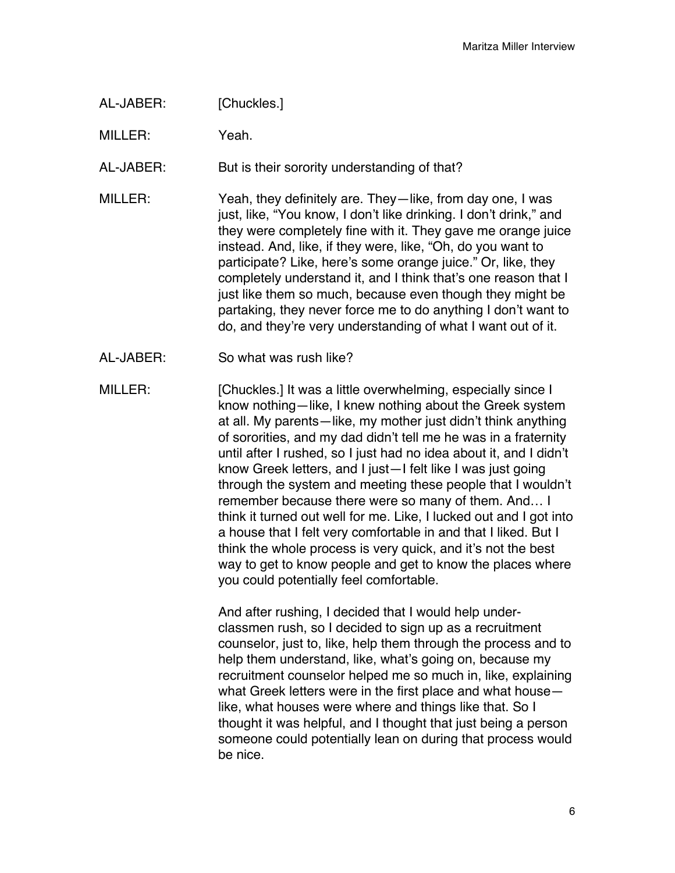AL-JABER: [Chuckles.]

MILLER: Yeah.

AL-JABER: But is their sorority understanding of that?

- MILLER: Yeah, they definitely are. They—like, from day one, I was just, like, "You know, I don't like drinking. I don't drink," and they were completely fine with it. They gave me orange juice instead. And, like, if they were, like, "Oh, do you want to participate? Like, here's some orange juice." Or, like, they completely understand it, and I think that's one reason that I just like them so much, because even though they might be partaking, they never force me to do anything I don't want to do, and they're very understanding of what I want out of it.
- AL-JABER: So what was rush like?
- MILLER: [Chuckles.] It was a little overwhelming, especially since I know nothing—like, I knew nothing about the Greek system at all. My parents—like, my mother just didn't think anything of sororities, and my dad didn't tell me he was in a fraternity until after I rushed, so I just had no idea about it, and I didn't know Greek letters, and I just—I felt like I was just going through the system and meeting these people that I wouldn't remember because there were so many of them. And… I think it turned out well for me. Like, I lucked out and I got into a house that I felt very comfortable in and that I liked. But I think the whole process is very quick, and it's not the best way to get to know people and get to know the places where you could potentially feel comfortable.

And after rushing, I decided that I would help underclassmen rush, so I decided to sign up as a recruitment counselor, just to, like, help them through the process and to help them understand, like, what's going on, because my recruitment counselor helped me so much in, like, explaining what Greek letters were in the first place and what house like, what houses were where and things like that. So I thought it was helpful, and I thought that just being a person someone could potentially lean on during that process would be nice.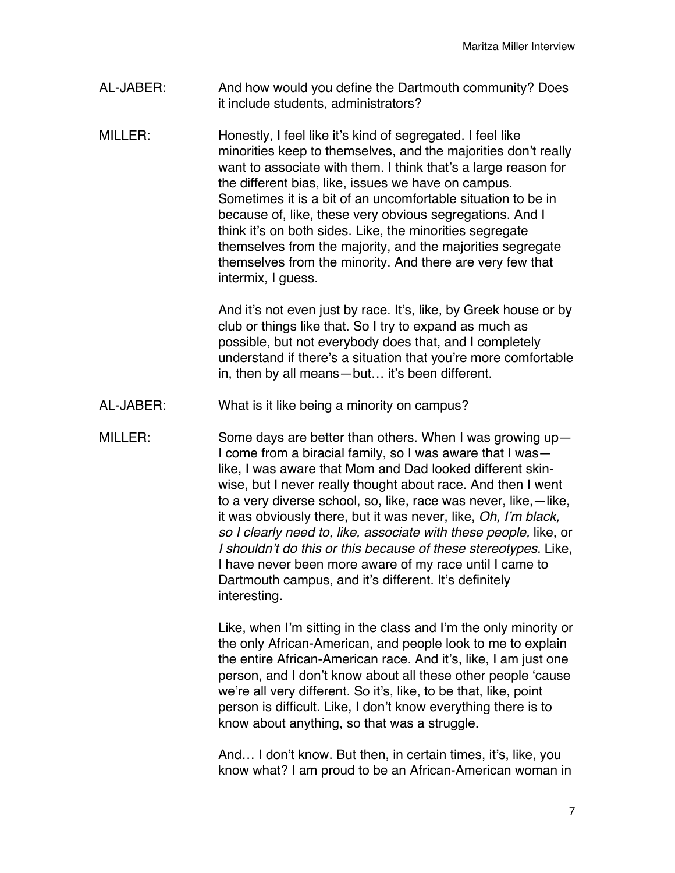- AL-JABER: And how would you define the Dartmouth community? Does it include students, administrators?
- MILLER: Honestly, I feel like it's kind of segregated. I feel like minorities keep to themselves, and the majorities don't really want to associate with them. I think that's a large reason for the different bias, like, issues we have on campus. Sometimes it is a bit of an uncomfortable situation to be in because of, like, these very obvious segregations. And I think it's on both sides. Like, the minorities segregate themselves from the majority, and the majorities segregate themselves from the minority. And there are very few that intermix, I guess.

And it's not even just by race. It's, like, by Greek house or by club or things like that. So I try to expand as much as possible, but not everybody does that, and I completely understand if there's a situation that you're more comfortable in, then by all means—but… it's been different.

- AL-JABER: What is it like being a minority on campus?
- MILLER: Some days are better than others. When I was growing up— I come from a biracial family, so I was aware that I was like, I was aware that Mom and Dad looked different skinwise, but I never really thought about race. And then I went to a very diverse school, so, like, race was never, like,—like, it was obviously there, but it was never, like, *Oh, I*'*m black, so I clearly need to, like, associate with these people,* like, or *I shouldn*'*t do this or this because of these stereotypes*. Like, I have never been more aware of my race until I came to Dartmouth campus, and it's different. It's definitely interesting.

Like, when I'm sitting in the class and I'm the only minority or the only African-American, and people look to me to explain the entire African-American race. And it's, like, I am just one person, and I don't know about all these other people ʻcause we're all very different. So it's, like, to be that, like, point person is difficult. Like, I don't know everything there is to know about anything, so that was a struggle.

And… I don't know. But then, in certain times, it's, like, you know what? I am proud to be an African-American woman in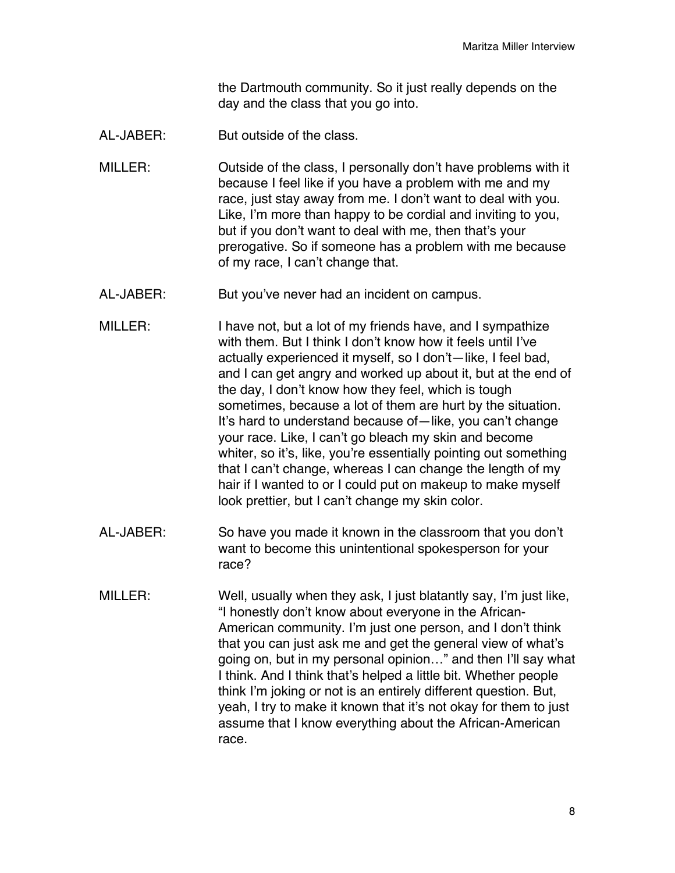the Dartmouth community. So it just really depends on the day and the class that you go into.

AL-JABER: But outside of the class.

MILLER: Outside of the class, I personally don't have problems with it because I feel like if you have a problem with me and my race, just stay away from me. I don't want to deal with you. Like, I'm more than happy to be cordial and inviting to you, but if you don't want to deal with me, then that's your prerogative. So if someone has a problem with me because of my race, I can't change that.

- AL-JABER: But you've never had an incident on campus.
- MILLER: I have not, but a lot of my friends have, and I sympathize with them. But I think I don't know how it feels until I've actually experienced it myself, so I don't—like, I feel bad, and I can get angry and worked up about it, but at the end of the day, I don't know how they feel, which is tough sometimes, because a lot of them are hurt by the situation. It's hard to understand because of—like, you can't change your race. Like, I can't go bleach my skin and become whiter, so it's, like, you're essentially pointing out something that I can't change, whereas I can change the length of my hair if I wanted to or I could put on makeup to make myself look prettier, but I can't change my skin color.
- AL-JABER: So have you made it known in the classroom that you don't want to become this unintentional spokesperson for your race?
- MILLER: Well, usually when they ask, I just blatantly say, I'm just like, "I honestly don't know about everyone in the African-American community. I'm just one person, and I don't think that you can just ask me and get the general view of what's going on, but in my personal opinion…" and then I'll say what I think. And I think that's helped a little bit. Whether people think I'm joking or not is an entirely different question. But, yeah, I try to make it known that it's not okay for them to just assume that I know everything about the African-American race.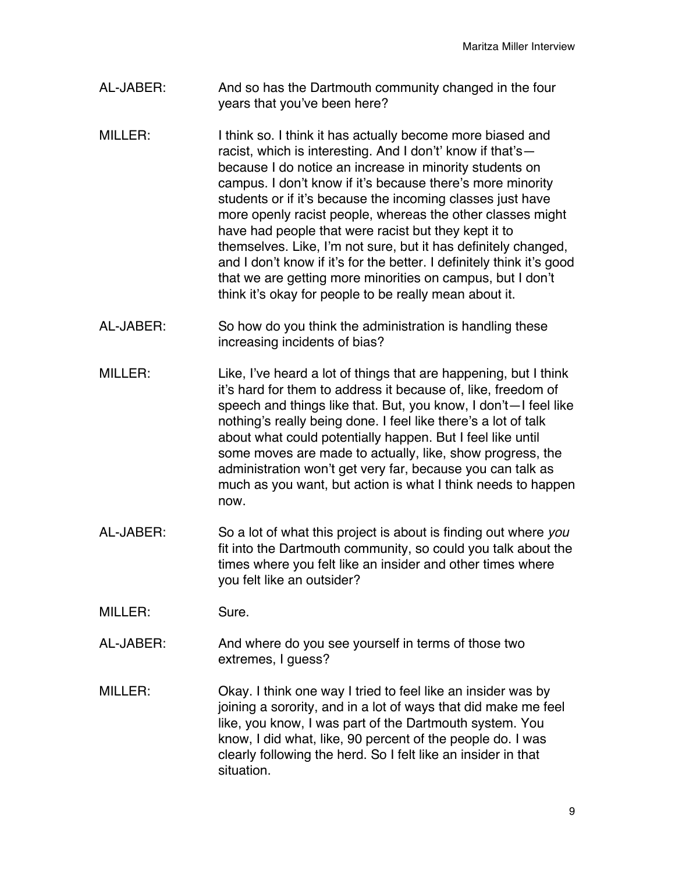- AL-JABER: And so has the Dartmouth community changed in the four years that you've been here?
- MILLER: I think so. I think it has actually become more biased and racist, which is interesting. And I don't' know if that's because I do notice an increase in minority students on campus. I don't know if it's because there's more minority students or if it's because the incoming classes just have more openly racist people, whereas the other classes might have had people that were racist but they kept it to themselves. Like, I'm not sure, but it has definitely changed, and I don't know if it's for the better. I definitely think it's good that we are getting more minorities on campus, but I don't think it's okay for people to be really mean about it.
- AL-JABER: So how do you think the administration is handling these increasing incidents of bias?
- MILLER: Like, I've heard a lot of things that are happening, but I think it's hard for them to address it because of, like, freedom of speech and things like that. But, you know, I don't—I feel like nothing's really being done. I feel like there's a lot of talk about what could potentially happen. But I feel like until some moves are made to actually, like, show progress, the administration won't get very far, because you can talk as much as you want, but action is what I think needs to happen now.
- AL-JABER: So a lot of what this project is about is finding out where *you* fit into the Dartmouth community, so could you talk about the times where you felt like an insider and other times where you felt like an outsider?
- MILLER: Sure.
- AL-JABER: And where do you see yourself in terms of those two extremes, I guess?
- MILLER: Okay. I think one way I tried to feel like an insider was by joining a sorority, and in a lot of ways that did make me feel like, you know, I was part of the Dartmouth system. You know, I did what, like, 90 percent of the people do. I was clearly following the herd. So I felt like an insider in that situation.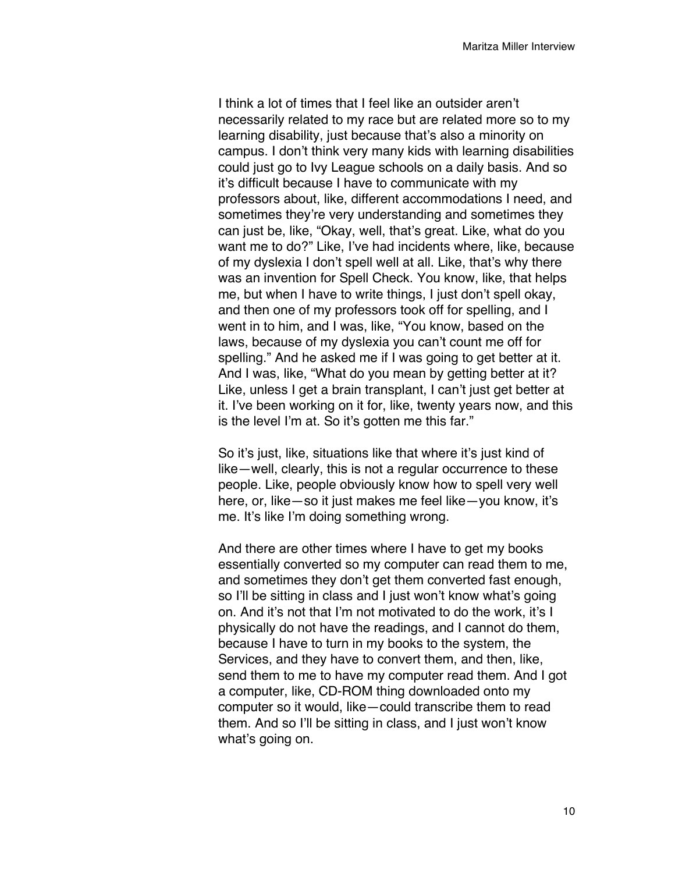I think a lot of times that I feel like an outsider aren't necessarily related to my race but are related more so to my learning disability, just because that's also a minority on campus. I don't think very many kids with learning disabilities could just go to Ivy League schools on a daily basis. And so it's difficult because I have to communicate with my professors about, like, different accommodations I need, and sometimes they're very understanding and sometimes they can just be, like, "Okay, well, that's great. Like, what do you want me to do?" Like, I've had incidents where, like, because of my dyslexia I don't spell well at all. Like, that's why there was an invention for Spell Check. You know, like, that helps me, but when I have to write things, I just don't spell okay, and then one of my professors took off for spelling, and I went in to him, and I was, like, "You know, based on the laws, because of my dyslexia you can't count me off for spelling." And he asked me if I was going to get better at it. And I was, like, "What do you mean by getting better at it? Like, unless I get a brain transplant, I can't just get better at it. I've been working on it for, like, twenty years now, and this is the level I'm at. So it's gotten me this far."

So it's just, like, situations like that where it's just kind of like—well, clearly, this is not a regular occurrence to these people. Like, people obviously know how to spell very well here, or, like—so it just makes me feel like—you know, it's me. It's like I'm doing something wrong.

And there are other times where I have to get my books essentially converted so my computer can read them to me, and sometimes they don't get them converted fast enough, so I'll be sitting in class and I just won't know what's going on. And it's not that I'm not motivated to do the work, it's I physically do not have the readings, and I cannot do them, because I have to turn in my books to the system, the Services, and they have to convert them, and then, like, send them to me to have my computer read them. And I got a computer, like, CD-ROM thing downloaded onto my computer so it would, like—could transcribe them to read them. And so I'll be sitting in class, and I just won't know what's going on.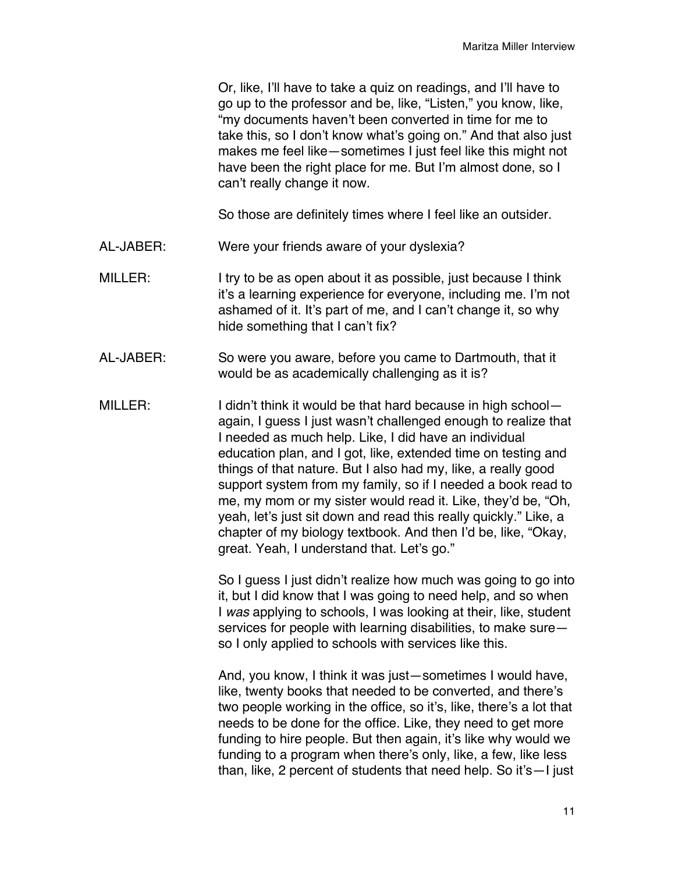Or, like, I'll have to take a quiz on readings, and I'll have to go up to the professor and be, like, "Listen," you know, like, "my documents haven't been converted in time for me to take this, so I don't know what's going on." And that also just makes me feel like—sometimes I just feel like this might not have been the right place for me. But I'm almost done, so I can't really change it now.

So those are definitely times where I feel like an outsider.

- AL-JABER: Were your friends aware of your dyslexia?
- MILLER: I try to be as open about it as possible, just because I think it's a learning experience for everyone, including me. I'm not ashamed of it. It's part of me, and I can't change it, so why hide something that I can't fix?
- AL-JABER: So were you aware, before you came to Dartmouth, that it would be as academically challenging as it is?
- MILLER: I didn't think it would be that hard because in high school again, I guess I just wasn't challenged enough to realize that I needed as much help. Like, I did have an individual education plan, and I got, like, extended time on testing and things of that nature. But I also had my, like, a really good support system from my family, so if I needed a book read to me, my mom or my sister would read it. Like, they'd be, "Oh, yeah, let's just sit down and read this really quickly." Like, a chapter of my biology textbook. And then I'd be, like, "Okay, great. Yeah, I understand that. Let's go."

So I guess I just didn't realize how much was going to go into it, but I did know that I was going to need help, and so when I *was* applying to schools, I was looking at their, like, student services for people with learning disabilities, to make sure so I only applied to schools with services like this.

And, you know, I think it was just—sometimes I would have, like, twenty books that needed to be converted, and there's two people working in the office, so it's, like, there's a lot that needs to be done for the office. Like, they need to get more funding to hire people. But then again, it's like why would we funding to a program when there's only, like, a few, like less than, like, 2 percent of students that need help. So it's—I just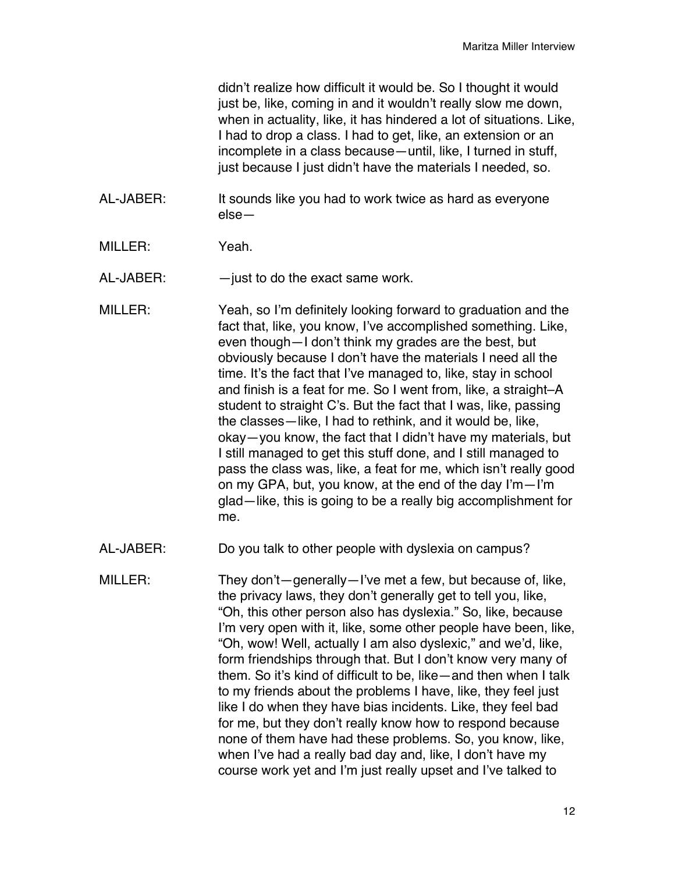didn't realize how difficult it would be. So I thought it would just be, like, coming in and it wouldn't really slow me down, when in actuality, like, it has hindered a lot of situations. Like, I had to drop a class. I had to get, like, an extension or an incomplete in a class because—until, like, I turned in stuff, just because I just didn't have the materials I needed, so.

- AL-JABER: It sounds like you had to work twice as hard as everyone else—
- MILLER: Yeah.

AL-JABER: —just to do the exact same work.

MILLER: Yeah, so I'm definitely looking forward to graduation and the fact that, like, you know, I've accomplished something. Like, even though—I don't think my grades are the best, but obviously because I don't have the materials I need all the time. It's the fact that I've managed to, like, stay in school and finish is a feat for me. So I went from, like, a straight–A student to straight C's. But the fact that I was, like, passing the classes—like, I had to rethink, and it would be, like, okay—you know, the fact that I didn't have my materials, but I still managed to get this stuff done, and I still managed to pass the class was, like, a feat for me, which isn't really good on my GPA, but, you know, at the end of the day I'm—I'm glad—like, this is going to be a really big accomplishment for me.

- AL-JABER: Do you talk to other people with dyslexia on campus?
- MILLER: They don't—generally—I've met a few, but because of, like, the privacy laws, they don't generally get to tell you, like, "Oh, this other person also has dyslexia." So, like, because I'm very open with it, like, some other people have been, like, "Oh, wow! Well, actually I am also dyslexic," and we'd, like, form friendships through that. But I don't know very many of them. So it's kind of difficult to be, like—and then when I talk to my friends about the problems I have, like, they feel just like I do when they have bias incidents. Like, they feel bad for me, but they don't really know how to respond because none of them have had these problems. So, you know, like, when I've had a really bad day and, like, I don't have my course work yet and I'm just really upset and I've talked to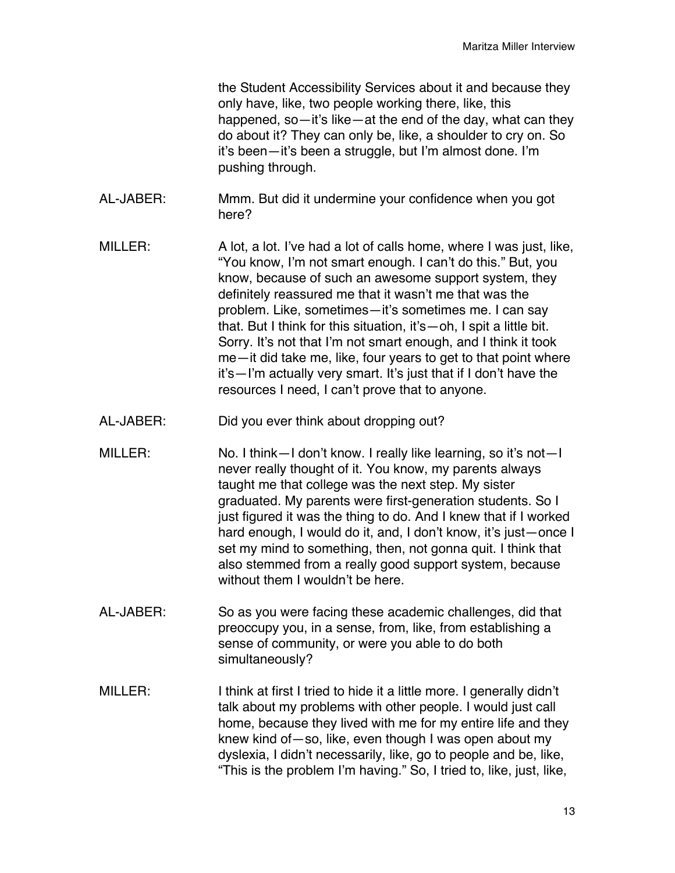the Student Accessibility Services about it and because they only have, like, two people working there, like, this happened, so—it's like—at the end of the day, what can they do about it? They can only be, like, a shoulder to cry on. So it's been—it's been a struggle, but I'm almost done. I'm pushing through.

- AL-JABER: Mmm. But did it undermine your confidence when you got here?
- MILLER: A lot, a lot. I've had a lot of calls home, where I was just, like, "You know, I'm not smart enough. I can't do this." But, you know, because of such an awesome support system, they definitely reassured me that it wasn't me that was the problem. Like, sometimes—it's sometimes me. I can say that. But I think for this situation, it's—oh, I spit a little bit. Sorry. It's not that I'm not smart enough, and I think it took me—it did take me, like, four years to get to that point where it's—I'm actually very smart. It's just that if I don't have the resources I need, I can't prove that to anyone.
- AL-JABER: Did you ever think about dropping out?
- MILLER: No. I think—I don't know. I really like learning, so it's not—I never really thought of it. You know, my parents always taught me that college was the next step. My sister graduated. My parents were first-generation students. So I just figured it was the thing to do. And I knew that if I worked hard enough, I would do it, and, I don't know, it's just—once I set my mind to something, then, not gonna quit. I think that also stemmed from a really good support system, because without them I wouldn't be here.
- AL-JABER: So as you were facing these academic challenges, did that preoccupy you, in a sense, from, like, from establishing a sense of community, or were you able to do both simultaneously?
- MILLER: I think at first I tried to hide it a little more. I generally didn't talk about my problems with other people. I would just call home, because they lived with me for my entire life and they knew kind of—so, like, even though I was open about my dyslexia, I didn't necessarily, like, go to people and be, like, "This is the problem I'm having." So, I tried to, like, just, like,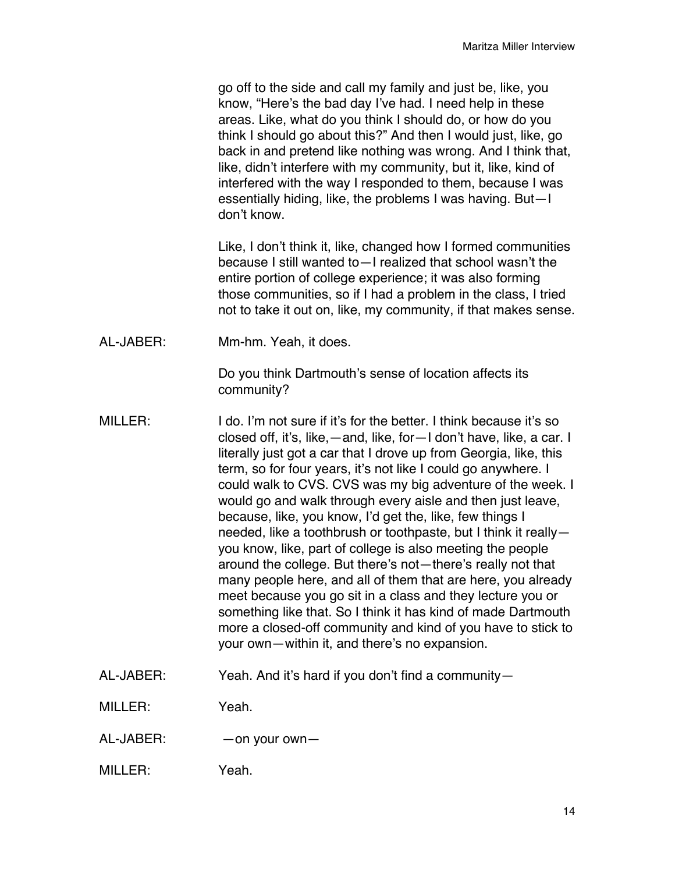go off to the side and call my family and just be, like, you know, "Here's the bad day I've had. I need help in these areas. Like, what do you think I should do, or how do you think I should go about this?" And then I would just, like, go back in and pretend like nothing was wrong. And I think that, like, didn't interfere with my community, but it, like, kind of interfered with the way I responded to them, because I was essentially hiding, like, the problems I was having. But—I don't know.

Like, I don't think it, like, changed how I formed communities because I still wanted to—I realized that school wasn't the entire portion of college experience; it was also forming those communities, so if I had a problem in the class, I tried not to take it out on, like, my community, if that makes sense.

AL-JABER: Mm-hm. Yeah, it does.

Do you think Dartmouth's sense of location affects its community?

- MILLER: I do. I'm not sure if it's for the better. I think because it's so closed off, it's, like,—and, like, for—I don't have, like, a car. I literally just got a car that I drove up from Georgia, like, this term, so for four years, it's not like I could go anywhere. I could walk to CVS. CVS was my big adventure of the week. I would go and walk through every aisle and then just leave, because, like, you know, I'd get the, like, few things I needed, like a toothbrush or toothpaste, but I think it really you know, like, part of college is also meeting the people around the college. But there's not—there's really not that many people here, and all of them that are here, you already meet because you go sit in a class and they lecture you or something like that. So I think it has kind of made Dartmouth more a closed-off community and kind of you have to stick to your own—within it, and there's no expansion.
- AL-JABER: Yeah. And it's hard if you don't find a community—

MILLER: Yeah.

- AL-JABER: —on your own—
- MILLER: Yeah.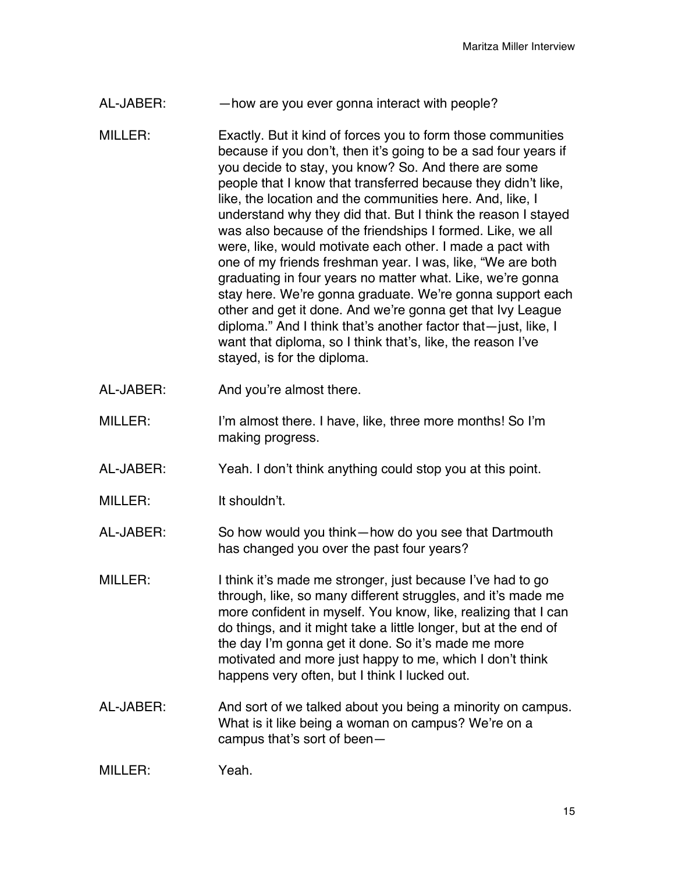- AL-JABER: —how are you ever gonna interact with people?
- MILLER: Exactly. But it kind of forces you to form those communities because if you don't, then it's going to be a sad four years if you decide to stay, you know? So. And there are some people that I know that transferred because they didn't like, like, the location and the communities here. And, like, I understand why they did that. But I think the reason I stayed was also because of the friendships I formed. Like, we all were, like, would motivate each other. I made a pact with one of my friends freshman year. I was, like, "We are both graduating in four years no matter what. Like, we're gonna stay here. We're gonna graduate. We're gonna support each other and get it done. And we're gonna get that Ivy League diploma." And I think that's another factor that—just, like, I want that diploma, so I think that's, like, the reason I've stayed, is for the diploma.
- AL-JABER: And you're almost there.
- MILLER: I'm almost there. I have, like, three more months! So I'm making progress.
- AL-JABER: Yeah. I don't think anything could stop you at this point.
- MILLER: It shouldn't.
- AL-JABER: So how would you think—how do you see that Dartmouth has changed you over the past four years?
- MILLER: I think it's made me stronger, just because I've had to go through, like, so many different struggles, and it's made me more confident in myself. You know, like, realizing that I can do things, and it might take a little longer, but at the end of the day I'm gonna get it done. So it's made me more motivated and more just happy to me, which I don't think happens very often, but I think I lucked out.
- AL-JABER: And sort of we talked about you being a minority on campus. What is it like being a woman on campus? We're on a campus that's sort of been—

| MILLER: | Yeah. |
|---------|-------|
|---------|-------|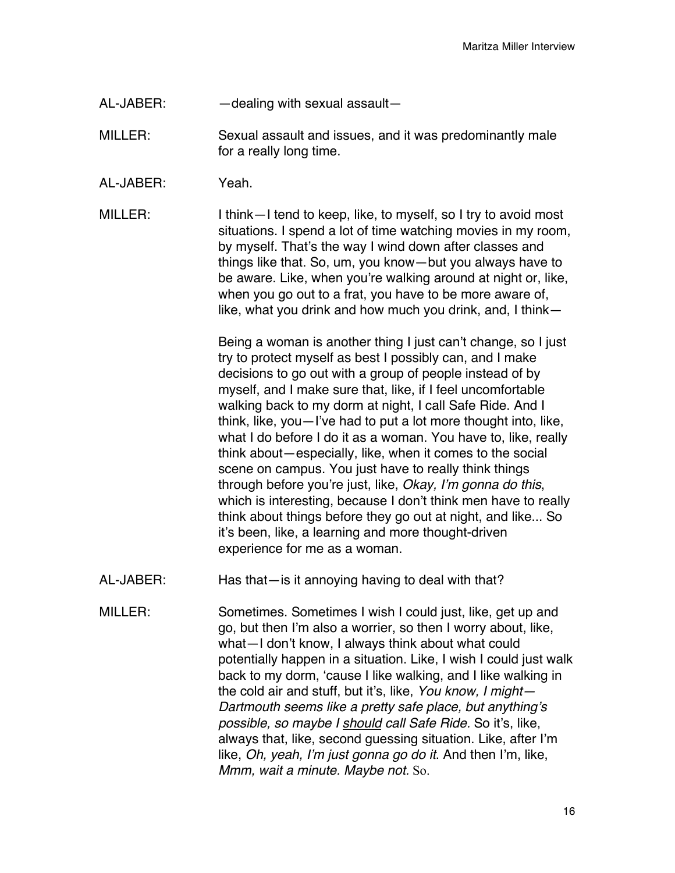- AL-JABER: —dealing with sexual assault—
- MILLER: Sexual assault and issues, and it was predominantly male for a really long time.
- AL-JABER: Yeah.
- MILLER: I think—I tend to keep, like, to myself, so I try to avoid most situations. I spend a lot of time watching movies in my room, by myself. That's the way I wind down after classes and things like that. So, um, you know—but you always have to be aware. Like, when you're walking around at night or, like, when you go out to a frat, you have to be more aware of, like, what you drink and how much you drink, and, I think—

Being a woman is another thing I just can't change, so I just try to protect myself as best I possibly can, and I make decisions to go out with a group of people instead of by myself, and I make sure that, like, if I feel uncomfortable walking back to my dorm at night, I call Safe Ride. And I think, like, you—I've had to put a lot more thought into, like, what I do before I do it as a woman. You have to, like, really think about—especially, like, when it comes to the social scene on campus. You just have to really think things through before you're just, like, *Okay, I*'*m gonna do this*, which is interesting, because I don't think men have to really think about things before they go out at night, and like... So it's been, like, a learning and more thought-driven experience for me as a woman.

- AL-JABER: Has that—is it annoying having to deal with that?
- MILLER: Sometimes. Sometimes I wish I could just, like, get up and go, but then I'm also a worrier, so then I worry about, like, what—I don't know, I always think about what could potentially happen in a situation. Like, I wish I could just walk back to my dorm, ʻcause I like walking, and I like walking in the cold air and stuff, but it's, like, *You know, I might— Dartmouth seems like a pretty safe place, but anything*'*s possible, so maybe I should call Safe Ride.* So it's, like, always that, like, second guessing situation. Like, after I'm like, *Oh, yeah, I*'*m just gonna go do it*. And then I'm, like, *Mmm, wait a minute. Maybe not.* So.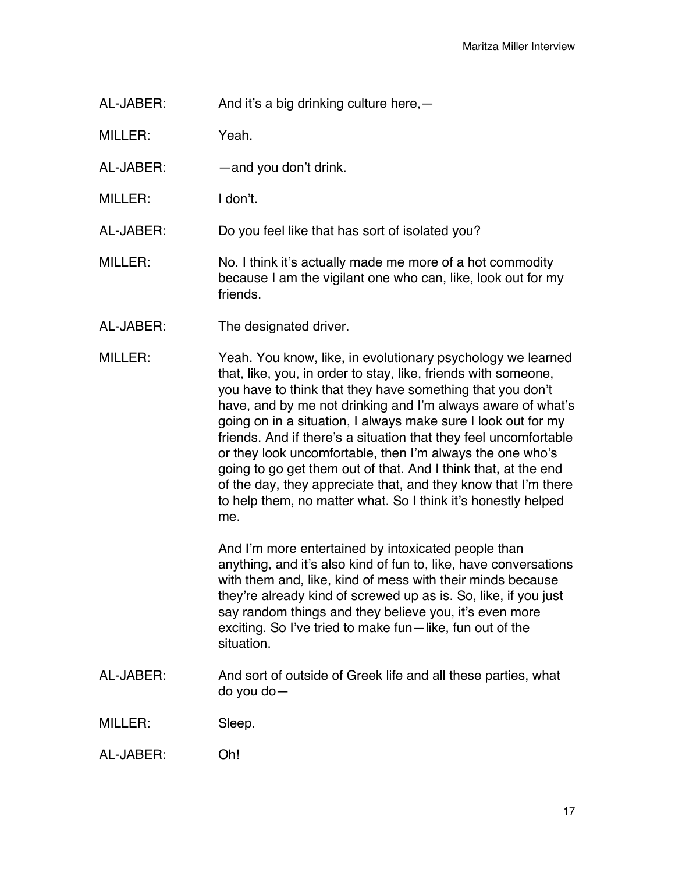AL-JABER: And it's a big drinking culture here,—

MILLER: Yeah.

- AL-JABER: —and you don't drink.
- MILLER: I don't.

AL-JABER: Do you feel like that has sort of isolated you?

- MILLER: No. I think it's actually made me more of a hot commodity because I am the vigilant one who can, like, look out for my friends.
- AL-JABER: The designated driver.
- MILLER: Yeah. You know, like, in evolutionary psychology we learned that, like, you, in order to stay, like, friends with someone, you have to think that they have something that you don't have, and by me not drinking and I'm always aware of what's going on in a situation, I always make sure I look out for my friends. And if there's a situation that they feel uncomfortable or they look uncomfortable, then I'm always the one who's going to go get them out of that. And I think that, at the end of the day, they appreciate that, and they know that I'm there to help them, no matter what. So I think it's honestly helped me.

And I'm more entertained by intoxicated people than anything, and it's also kind of fun to, like, have conversations with them and, like, kind of mess with their minds because they're already kind of screwed up as is. So, like, if you just say random things and they believe you, it's even more exciting. So I've tried to make fun—like, fun out of the situation.

AL-JABER: And sort of outside of Greek life and all these parties, what do you do—

MILLER: Sleep.

AL-JABER: Oh!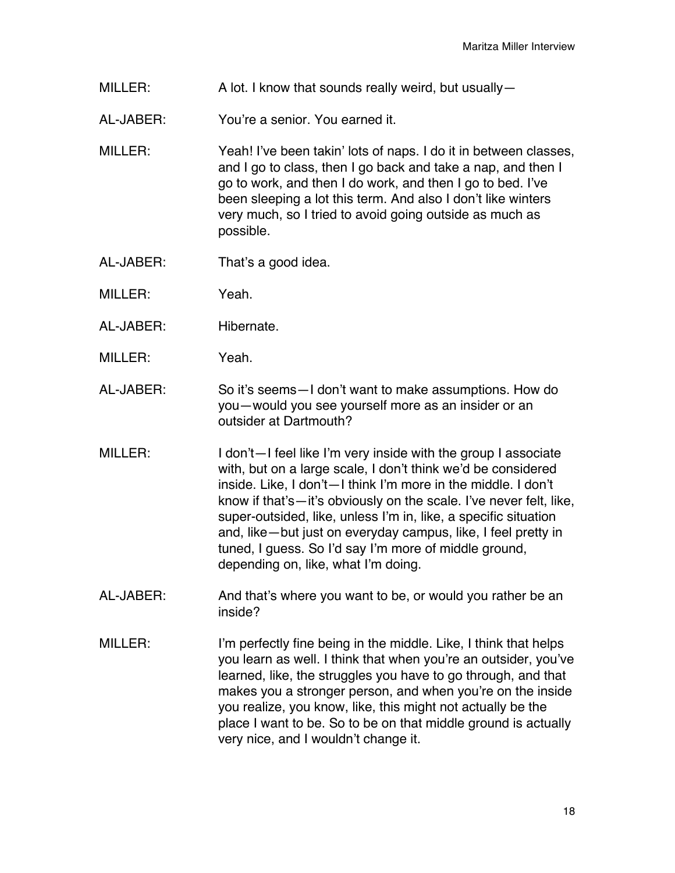- MILLER: A lot. I know that sounds really weird, but usually—
- AL-JABER: You're a senior. You earned it.
- MILLER: Yeah! I've been takin' lots of naps. I do it in between classes, and I go to class, then I go back and take a nap, and then I go to work, and then I do work, and then I go to bed. I've been sleeping a lot this term. And also I don't like winters very much, so I tried to avoid going outside as much as possible.
- AL-JABER: That's a good idea.
- MILLER: Yeah.
- AL-JABER: Hibernate.
- MILLER: Yeah.
- AL-JABER: So it's seems—I don't want to make assumptions. How do you—would you see yourself more as an insider or an outsider at Dartmouth?
- MILLER: I don't—I feel like I'm very inside with the group I associate with, but on a large scale, I don't think we'd be considered inside. Like, I don't—I think I'm more in the middle. I don't know if that's—it's obviously on the scale. I've never felt, like, super-outsided, like, unless I'm in, like, a specific situation and, like—but just on everyday campus, like, I feel pretty in tuned, I guess. So I'd say I'm more of middle ground, depending on, like, what I'm doing.
- AL-JABER: And that's where you want to be, or would you rather be an inside?
- MILLER: I'm perfectly fine being in the middle. Like, I think that helps you learn as well. I think that when you're an outsider, you've learned, like, the struggles you have to go through, and that makes you a stronger person, and when you're on the inside you realize, you know, like, this might not actually be the place I want to be. So to be on that middle ground is actually very nice, and I wouldn't change it.